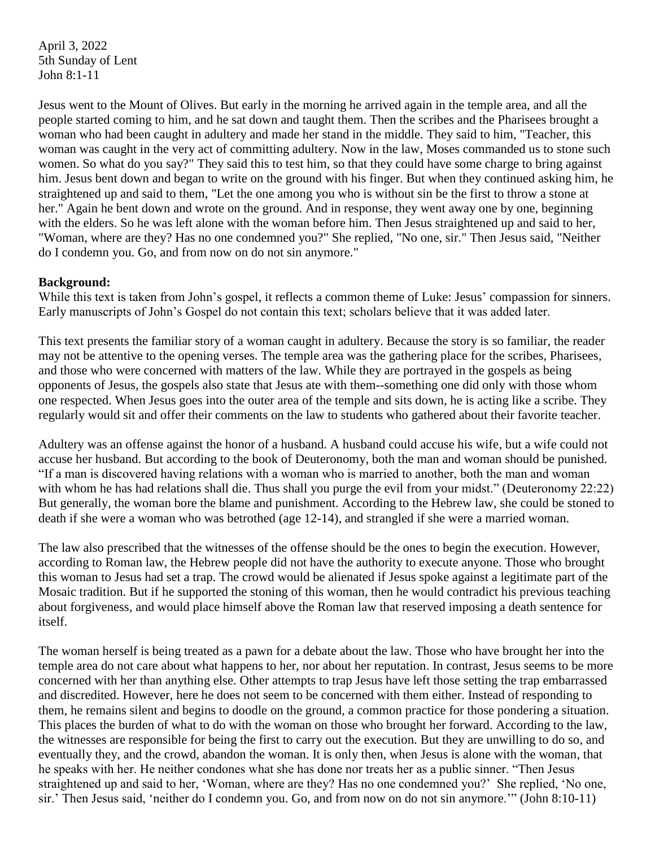April 3, 2022 5th Sunday of Lent John 8:1-11

Jesus went to the Mount of Olives. But early in the morning he arrived again in the temple area, and all the people started coming to him, and he sat down and taught them. Then the scribes and the Pharisees brought a woman who had been caught in adultery and made her stand in the middle. They said to him, "Teacher, this woman was caught in the very act of committing adultery. Now in the law, Moses commanded us to stone such women. So what do you say?" They said this to test him, so that they could have some charge to bring against him. Jesus bent down and began to write on the ground with his finger. But when they continued asking him, he straightened up and said to them, "Let the one among you who is without sin be the first to throw a stone at her." Again he bent down and wrote on the ground. And in response, they went away one by one, beginning with the elders. So he was left alone with the woman before him. Then Jesus straightened up and said to her, "Woman, where are they? Has no one condemned you?" She replied, "No one, sir." Then Jesus said, "Neither do I condemn you. Go, and from now on do not sin anymore."

#### **Background:**

While this text is taken from John's gospel, it reflects a common theme of Luke: Jesus' compassion for sinners. Early manuscripts of John's Gospel do not contain this text; scholars believe that it was added later.

This text presents the familiar story of a woman caught in adultery. Because the story is so familiar, the reader may not be attentive to the opening verses. The temple area was the gathering place for the scribes, Pharisees, and those who were concerned with matters of the law. While they are portrayed in the gospels as being opponents of Jesus, the gospels also state that Jesus ate with them--something one did only with those whom one respected. When Jesus goes into the outer area of the temple and sits down, he is acting like a scribe. They regularly would sit and offer their comments on the law to students who gathered about their favorite teacher.

Adultery was an offense against the honor of a husband. A husband could accuse his wife, but a wife could not accuse her husband. But according to the book of Deuteronomy, both the man and woman should be punished. "If a man is discovered having relations with a woman who is married to another, both the man and woman with whom he has had relations shall die. Thus shall you purge the evil from your midst." (Deuteronomy 22:22) But generally, the woman bore the blame and punishment. According to the Hebrew law, she could be stoned to death if she were a woman who was betrothed (age 12-14), and strangled if she were a married woman.

The law also prescribed that the witnesses of the offense should be the ones to begin the execution. However, according to Roman law, the Hebrew people did not have the authority to execute anyone. Those who brought this woman to Jesus had set a trap. The crowd would be alienated if Jesus spoke against a legitimate part of the Mosaic tradition. But if he supported the stoning of this woman, then he would contradict his previous teaching about forgiveness, and would place himself above the Roman law that reserved imposing a death sentence for itself.

The woman herself is being treated as a pawn for a debate about the law. Those who have brought her into the temple area do not care about what happens to her, nor about her reputation. In contrast, Jesus seems to be more concerned with her than anything else. Other attempts to trap Jesus have left those setting the trap embarrassed and discredited. However, here he does not seem to be concerned with them either. Instead of responding to them, he remains silent and begins to doodle on the ground, a common practice for those pondering a situation. This places the burden of what to do with the woman on those who brought her forward. According to the law, the witnesses are responsible for being the first to carry out the execution. But they are unwilling to do so, and eventually they, and the crowd, abandon the woman. It is only then, when Jesus is alone with the woman, that he speaks with her. He neither condones what she has done nor treats her as a public sinner. "Then Jesus straightened up and said to her, 'Woman, where are they? Has no one condemned you?' She replied, 'No one, sir.' Then Jesus said, 'neither do I condemn you. Go, and from now on do not sin anymore.'" (John 8:10-11)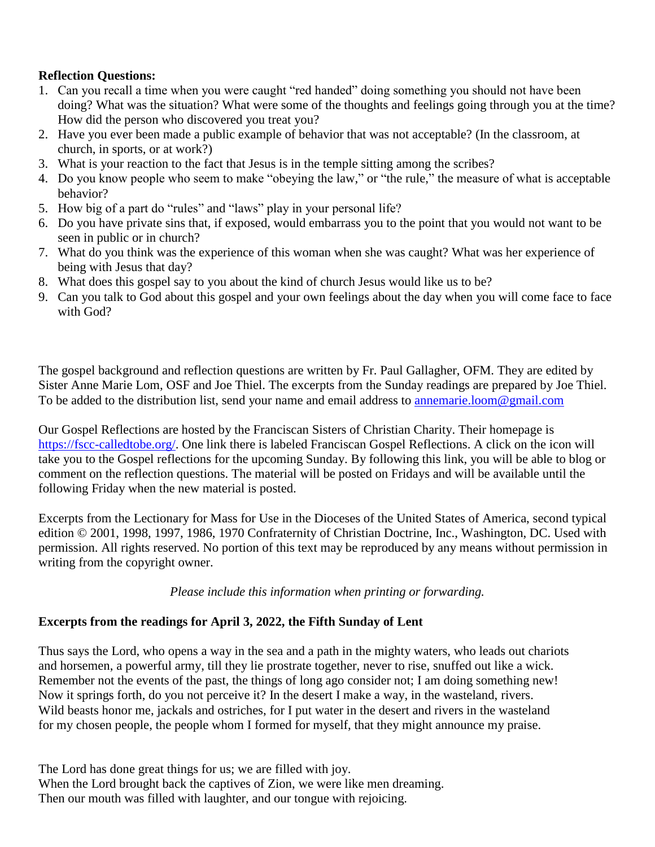## **Reflection Questions:**

- 1. Can you recall a time when you were caught "red handed" doing something you should not have been doing? What was the situation? What were some of the thoughts and feelings going through you at the time? How did the person who discovered you treat you?
- 2. Have you ever been made a public example of behavior that was not acceptable? (In the classroom, at church, in sports, or at work?)
- 3. What is your reaction to the fact that Jesus is in the temple sitting among the scribes?
- 4. Do you know people who seem to make "obeying the law," or "the rule," the measure of what is acceptable behavior?
- 5. How big of a part do "rules" and "laws" play in your personal life?
- 6. Do you have private sins that, if exposed, would embarrass you to the point that you would not want to be seen in public or in church?
- 7. What do you think was the experience of this woman when she was caught? What was her experience of being with Jesus that day?
- 8. What does this gospel say to you about the kind of church Jesus would like us to be?
- 9. Can you talk to God about this gospel and your own feelings about the day when you will come face to face with God?

The gospel background and reflection questions are written by Fr. Paul Gallagher, OFM. They are edited by Sister Anne Marie Lom, OSF and Joe Thiel. The excerpts from the Sunday readings are prepared by Joe Thiel. To be added to the distribution list, send your name and email address to [annemarie.loom@gmail.com](mailto:annemarie.loom@gmail.com)

Our Gospel Reflections are hosted by the Franciscan Sisters of Christian Charity. Their homepage is [https://fscc-calledtobe.org/.](https://fscc-calledtobe.org/) One link there is labeled Franciscan Gospel Reflections. A click on the icon will take you to the Gospel reflections for the upcoming Sunday. By following this link, you will be able to blog or comment on the reflection questions. The material will be posted on Fridays and will be available until the following Friday when the new material is posted.

Excerpts from the Lectionary for Mass for Use in the Dioceses of the United States of America, second typical edition © 2001, 1998, 1997, 1986, 1970 Confraternity of Christian Doctrine, Inc., Washington, DC. Used with permission. All rights reserved. No portion of this text may be reproduced by any means without permission in writing from the copyright owner.

*Please include this information when printing or forwarding.*

# **Excerpts from the readings for April 3, 2022, the Fifth Sunday of Lent**

Thus says the Lord, who opens a way in the sea and a path in the mighty waters, who leads out chariots and horsemen, a powerful army, till they lie prostrate together, never to rise, snuffed out like a wick. Remember not the events of the past, the things of long ago consider not; I am doing something new! Now it springs forth, do you not perceive it? In the desert I make a way, in the wasteland, rivers. Wild beasts honor me, jackals and ostriches, for I put water in the desert and rivers in the wasteland for my chosen people, the people whom I formed for myself, that they might announce my praise.

The Lord has done great things for us; we are filled with joy. When the Lord brought back the captives of Zion, we were like men dreaming. Then our mouth was filled with laughter, and our tongue with rejoicing.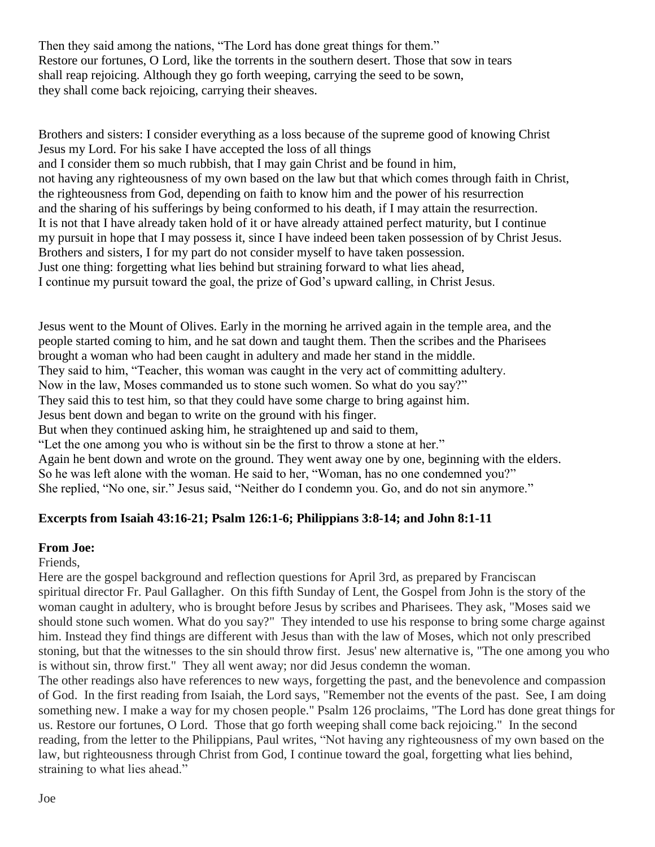Then they said among the nations, "The Lord has done great things for them." Restore our fortunes, O Lord, like the torrents in the southern desert. Those that sow in tears shall reap rejoicing. Although they go forth weeping, carrying the seed to be sown, they shall come back rejoicing, carrying their sheaves.

Brothers and sisters: I consider everything as a loss because of the supreme good of knowing Christ Jesus my Lord. For his sake I have accepted the loss of all things and I consider them so much rubbish, that I may gain Christ and be found in him, not having any righteousness of my own based on the law but that which comes through faith in Christ, the righteousness from God, depending on faith to know him and the power of his resurrection and the sharing of his sufferings by being conformed to his death, if I may attain the resurrection. It is not that I have already taken hold of it or have already attained perfect maturity, but I continue my pursuit in hope that I may possess it, since I have indeed been taken possession of by Christ Jesus. Brothers and sisters, I for my part do not consider myself to have taken possession. Just one thing: forgetting what lies behind but straining forward to what lies ahead, I continue my pursuit toward the goal, the prize of God's upward calling, in Christ Jesus.

Jesus went to the Mount of Olives. Early in the morning he arrived again in the temple area, and the people started coming to him, and he sat down and taught them. Then the scribes and the Pharisees brought a woman who had been caught in adultery and made her stand in the middle. They said to him, "Teacher, this woman was caught in the very act of committing adultery. Now in the law, Moses commanded us to stone such women. So what do you say?" They said this to test him, so that they could have some charge to bring against him. Jesus bent down and began to write on the ground with his finger. But when they continued asking him, he straightened up and said to them, "Let the one among you who is without sin be the first to throw a stone at her." Again he bent down and wrote on the ground. They went away one by one, beginning with the elders. So he was left alone with the woman. He said to her, "Woman, has no one condemned you?" She replied, "No one, sir." Jesus said, "Neither do I condemn you. Go, and do not sin anymore."

### **Excerpts from Isaiah 43:16-21; Psalm 126:1-6; Philippians 3:8-14; and John 8:1-11**

### **From Joe:**

Friends,

Here are the gospel background and reflection questions for April 3rd, as prepared by Franciscan spiritual director Fr. Paul Gallagher. On this fifth Sunday of Lent, the Gospel from John is the story of the woman caught in adultery, who is brought before Jesus by scribes and Pharisees. They ask, "Moses said we should stone such women. What do you say?" They intended to use his response to bring some charge against him. Instead they find things are different with Jesus than with the law of Moses, which not only prescribed stoning, but that the witnesses to the sin should throw first. Jesus' new alternative is, "The one among you who is without sin, throw first." They all went away; nor did Jesus condemn the woman.

The other readings also have references to new ways, forgetting the past, and the benevolence and compassion of God. In the first reading from Isaiah, the Lord says, "Remember not the events of the past. See, I am doing something new. I make a way for my chosen people." Psalm 126 proclaims, "The Lord has done great things for us. Restore our fortunes, O Lord. Those that go forth weeping shall come back rejoicing." In the second reading, from the letter to the Philippians, Paul writes, "Not having any righteousness of my own based on the law, but righteousness through Christ from God, I continue toward the goal, forgetting what lies behind, straining to what lies ahead."